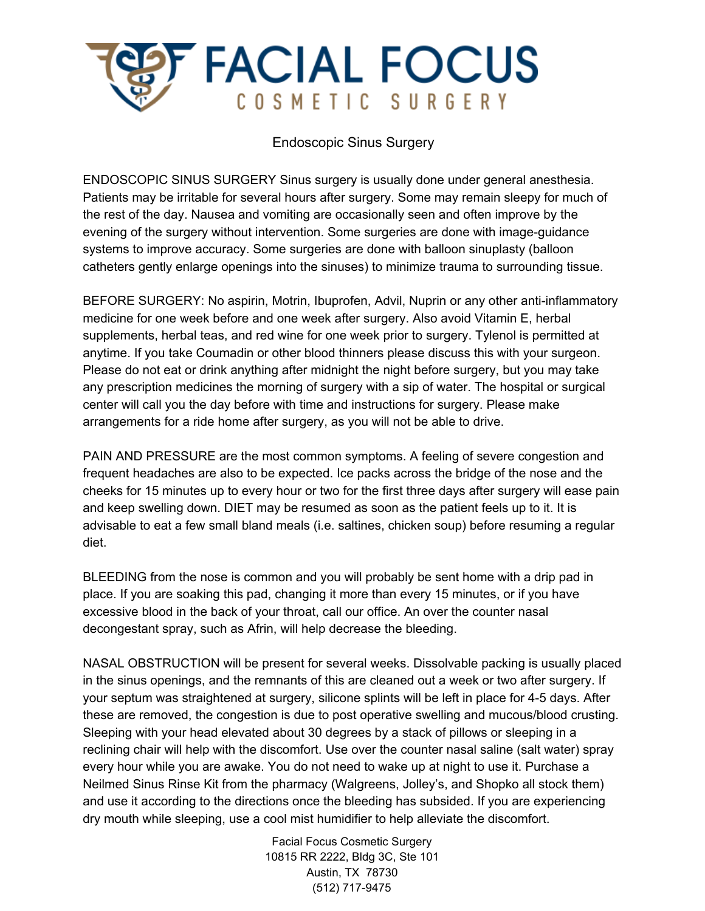

Endoscopic Sinus Surgery

ENDOSCOPIC SINUS SURGERY Sinus surgery is usually done under general anesthesia. Patients may be irritable for several hours after surgery. Some may remain sleepy for much of the rest of the day. Nausea and vomiting are occasionally seen and often improve by the evening of the surgery without intervention. Some surgeries are done with image-guidance systems to improve accuracy. Some surgeries are done with balloon sinuplasty (balloon catheters gently enlarge openings into the sinuses) to minimize trauma to surrounding tissue.

BEFORE SURGERY: No aspirin, Motrin, Ibuprofen, Advil, Nuprin or any other anti-inflammatory medicine for one week before and one week after surgery. Also avoid Vitamin E, herbal supplements, herbal teas, and red wine for one week prior to surgery. Tylenol is permitted at anytime. If you take Coumadin or other blood thinners please discuss this with your surgeon. Please do not eat or drink anything after midnight the night before surgery, but you may take any prescription medicines the morning of surgery with a sip of water. The hospital or surgical center will call you the day before with time and instructions for surgery. Please make arrangements for a ride home after surgery, as you will not be able to drive.

PAIN AND PRESSURE are the most common symptoms. A feeling of severe congestion and frequent headaches are also to be expected. Ice packs across the bridge of the nose and the cheeks for 15 minutes up to every hour or two for the first three days after surgery will ease pain and keep swelling down. DIET may be resumed as soon as the patient feels up to it. It is advisable to eat a few small bland meals (i.e. saltines, chicken soup) before resuming a regular diet.

BLEEDING from the nose is common and you will probably be sent home with a drip pad in place. If you are soaking this pad, changing it more than every 15 minutes, or if you have excessive blood in the back of your throat, call our office. An over the counter nasal decongestant spray, such as Afrin, will help decrease the bleeding.

NASAL OBSTRUCTION will be present for several weeks. Dissolvable packing is usually placed in the sinus openings, and the remnants of this are cleaned out a week or two after surgery. If your septum was straightened at surgery, silicone splints will be left in place for 4-5 days. After these are removed, the congestion is due to post operative swelling and mucous/blood crusting. Sleeping with your head elevated about 30 degrees by a stack of pillows or sleeping in a reclining chair will help with the discomfort. Use over the counter nasal saline (salt water) spray every hour while you are awake. You do not need to wake up at night to use it. Purchase a Neilmed Sinus Rinse Kit from the pharmacy (Walgreens, Jolley's, and Shopko all stock them) and use it according to the directions once the bleeding has subsided. If you are experiencing dry mouth while sleeping, use a cool mist humidifier to help alleviate the discomfort.

> Facial Focus Cosmetic Surgery 10815 RR 2222, Bldg 3C, Ste 101 Austin, TX 78730 (512) 717-9475